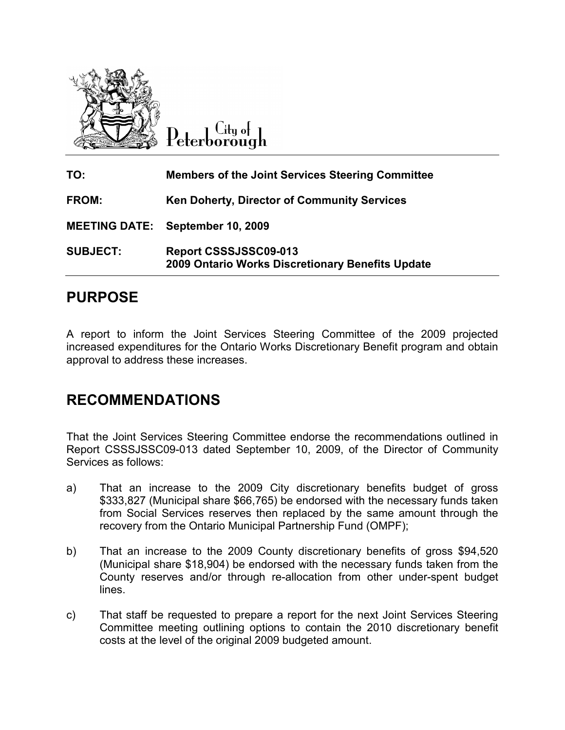

City of  $\operatorname{Peterborough}$ 

| TO:                  | <b>Members of the Joint Services Steering Committee</b>                   |
|----------------------|---------------------------------------------------------------------------|
| <b>FROM:</b>         | <b>Ken Doherty, Director of Community Services</b>                        |
| <b>MEETING DATE:</b> | <b>September 10, 2009</b>                                                 |
| <b>SUBJECT:</b>      | Report CSSSJSSC09-013<br>2009 Ontario Works Discretionary Benefits Update |

# PURPOSE

A report to inform the Joint Services Steering Committee of the 2009 projected increased expenditures for the Ontario Works Discretionary Benefit program and obtain approval to address these increases.

### RECOMMENDATIONS

That the Joint Services Steering Committee endorse the recommendations outlined in Report CSSSJSSC09-013 dated September 10, 2009, of the Director of Community Services as follows:

- a) That an increase to the 2009 City discretionary benefits budget of gross \$333,827 (Municipal share \$66,765) be endorsed with the necessary funds taken from Social Services reserves then replaced by the same amount through the recovery from the Ontario Municipal Partnership Fund (OMPF);
- b) That an increase to the 2009 County discretionary benefits of gross \$94,520 (Municipal share \$18,904) be endorsed with the necessary funds taken from the County reserves and/or through re-allocation from other under-spent budget lines.
- c) That staff be requested to prepare a report for the next Joint Services Steering Committee meeting outlining options to contain the 2010 discretionary benefit costs at the level of the original 2009 budgeted amount.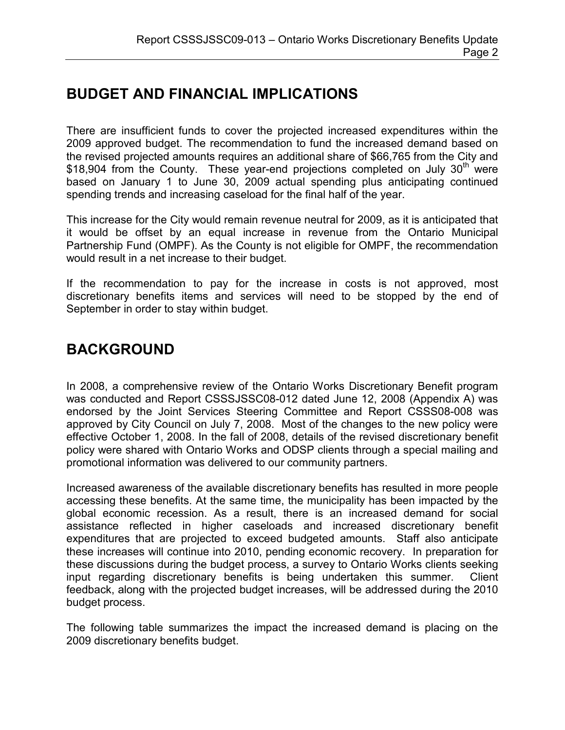# BUDGET AND FINANCIAL IMPLICATIONS

There are insufficient funds to cover the projected increased expenditures within the 2009 approved budget. The recommendation to fund the increased demand based on the revised projected amounts requires an additional share of \$66,765 from the City and \$18,904 from the County. These year-end projections completed on July  $30<sup>th</sup>$  were based on January 1 to June 30, 2009 actual spending plus anticipating continued spending trends and increasing caseload for the final half of the year.

This increase for the City would remain revenue neutral for 2009, as it is anticipated that it would be offset by an equal increase in revenue from the Ontario Municipal Partnership Fund (OMPF). As the County is not eligible for OMPF, the recommendation would result in a net increase to their budget.

If the recommendation to pay for the increase in costs is not approved, most discretionary benefits items and services will need to be stopped by the end of September in order to stay within budget.

# BACKGROUND

In 2008, a comprehensive review of the Ontario Works Discretionary Benefit program was conducted and Report CSSSJSSC08-012 dated June 12, 2008 (Appendix A) was endorsed by the Joint Services Steering Committee and Report CSSS08-008 was approved by City Council on July 7, 2008. Most of the changes to the new policy were effective October 1, 2008. In the fall of 2008, details of the revised discretionary benefit policy were shared with Ontario Works and ODSP clients through a special mailing and promotional information was delivered to our community partners.

Increased awareness of the available discretionary benefits has resulted in more people accessing these benefits. At the same time, the municipality has been impacted by the global economic recession. As a result, there is an increased demand for social assistance reflected in higher caseloads and increased discretionary benefit expenditures that are projected to exceed budgeted amounts. Staff also anticipate these increases will continue into 2010, pending economic recovery. In preparation for these discussions during the budget process, a survey to Ontario Works clients seeking input regarding discretionary benefits is being undertaken this summer. Client feedback, along with the projected budget increases, will be addressed during the 2010 budget process.

The following table summarizes the impact the increased demand is placing on the 2009 discretionary benefits budget.